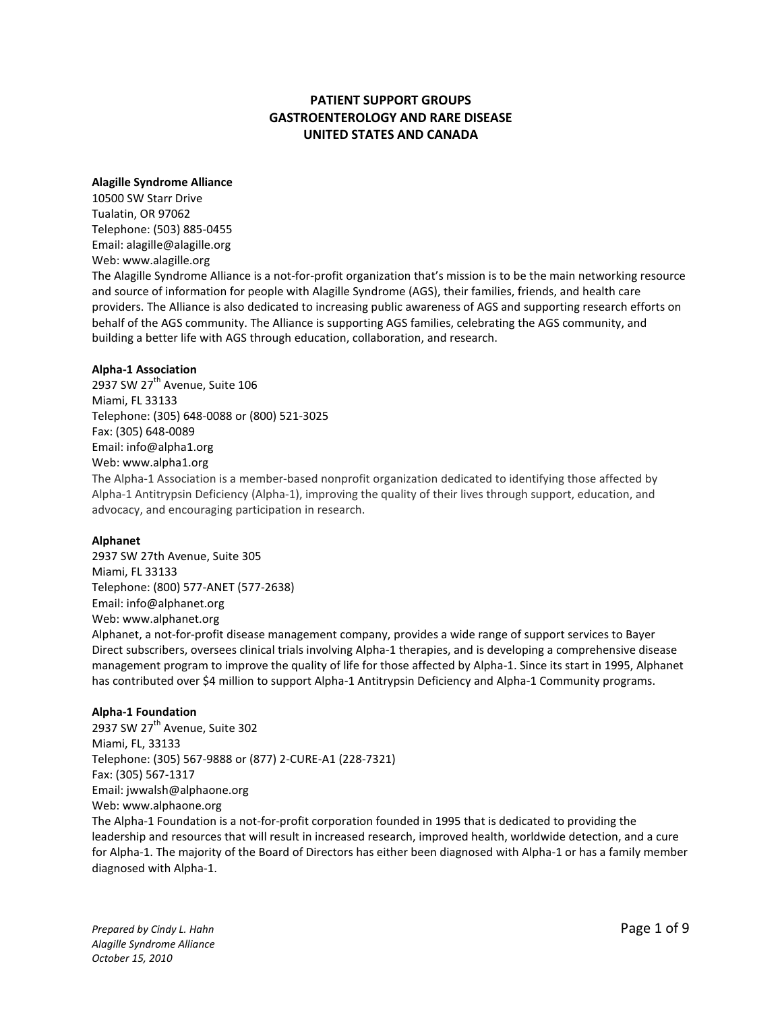# **PATIENT SUPPORT GROUPS GASTROENTEROLOGY AND RARE DISEASE UNITED STATES AND CANADA**

### **Alagille Syndrome Alliance**

10500 SW Starr Drive Tualatin, OR 97062 Telephone: (503) 885-0455 Email: [alagille@alagille.org](mailto:alagille@earthlink.net) Web: [www.alagille.org](http://www.alagille.org/) The Alagille Syndrome Alliance is a not-for-profit organization that's mission is to be the main networking resource and source of information for people with Alagille Syndrome (AGS), their families, friends, and health care providers. The Alliance is also dedicated to increasing public awareness of AGS and supporting research efforts on behalf of the AGS community. The Alliance is supporting AGS families, celebrating the AGS community, and building a better life with AGS through education, collaboration, and research.

#### **Alpha-1 Association**

2937 SW  $27<sup>th</sup>$  Avenue, Suite 106 Miami, FL 33133 Telephone: (305) 648-0088 or (800) 521-3025 Fax: (305) 648-0089 Email: info@alpha1.org Web: [www.alpha1.org](http://www.alpha1.org/)

The Alpha-1 Association is a member-based nonprofit organization dedicated to identifying those affected by Alpha-1 Antitrypsin Deficiency (Alpha-1), improving the quality of their lives through support, education, and advocacy, and encouraging participation in research.

#### **Alphanet**

2937 SW 27th Avenue, Suite 305 Miami, FL 33133 Telephone: (800) 577-ANET (577-2638) Email: [info@alphanet.org](mailto:info@alphanet.org) Web: [www.alphanet.org](http://www.alphanet.org/) 

Alphanet, a not-for-profit disease management company, provides a wide range of support services to Bayer Direct subscribers, oversees clinical trials involving Alpha-1 therapies, and is developing a comprehensive disease management program to improve the quality of life for those affected by Alpha-1. Since its start in 1995, Alphanet has contributed over \$4 million to support Alpha-1 Antitrypsin Deficiency and Alpha-1 Community programs.

# **Alpha-1 Foundation**

2937 SW  $27<sup>th</sup>$  Avenue, Suite 302 Miami, FL, 33133 Telephone: (305) 567-9888 or (877) 2-CURE-A1 (228-7321) Fax: (305) 567-1317 Email: [jwwalsh@alphaone.org](mailto:jwwalsh@alphaone.org) Web: www.alphaone.org The Alpha-1 Foundation is a not-for-profit corporation founded in 1995 that is dedicated to providing the leadership and resources that will result in increased research, improved health, worldwide detection, and a cure for Alpha-1. The majority of the Board of Directors has either been diagnosed with Alpha-1 or has a family member diagnosed with Alpha-1.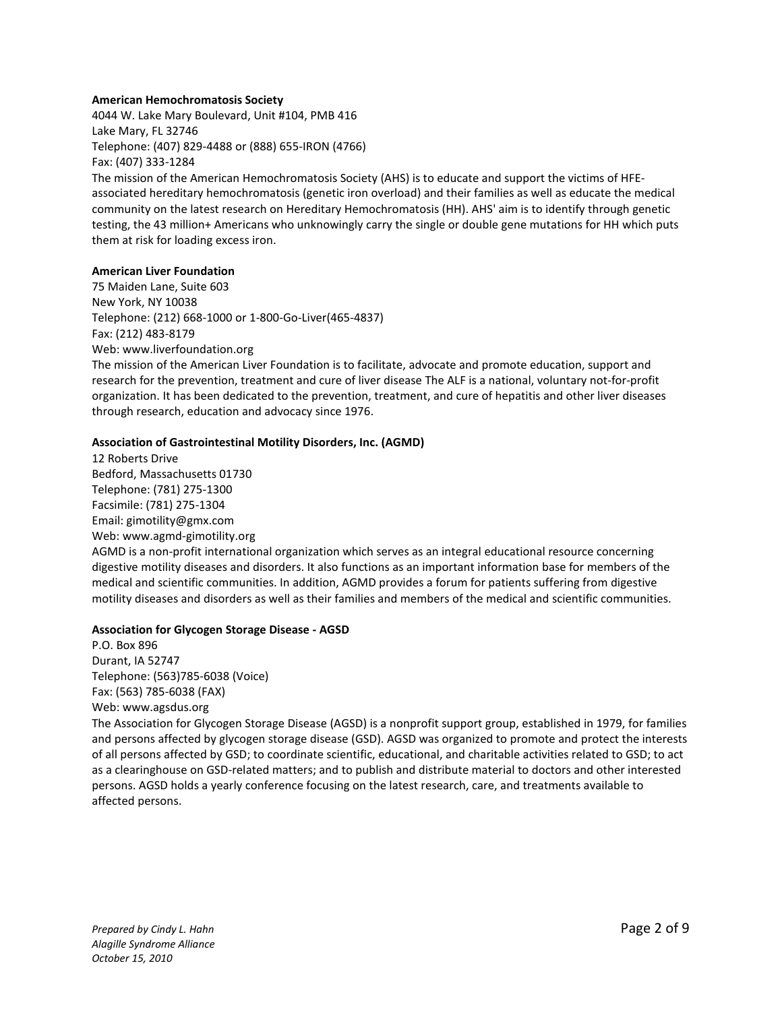#### **[American Hemochromatosis Society](http://www.americanhs.org/)**

4044 W. Lake Mary Boulevard, Unit #104, PMB 416 Lake Mary, FL 32746 Telephone: (407) 829-4488 or (888) 655-IRON (4766) Fax: (407) 333-1284 The mission of the American Hemochromatosis Society (AHS) is to educate and support the victims of HFEassociated hereditary hemochromatosis (genetic iron overload) and their families as well as educate the medical community on the latest research on Hereditary Hemochromatosis (HH). AHS' aim is to identify through genetic testing, the 43 million+ Americans who unknowingly carry the single or double gene mutations for HH which puts them at risk for loading excess iron.

### **[American Liver Foundation](http://www.liverfoundation.org/)**

75 Maiden Lane, Suite 603 New York, NY 10038 Telephone: (212) 668-1000 or 1-800-Go-Liver(465-4837) Fax: (212) 483-8179 Web: [www.liverfoundation.org](http://www.liverfoundation.org/)

The mission of the American Liver Foundation is to facilitate, advocate and promote education, support and research for the prevention, treatment and cure of liver disease The ALF is a national, voluntary not-for-profit organization. It has been dedicated to the prevention, treatment, and cure of hepatitis and other liver diseases through research, education and advocacy since 1976.

# **Association of Gastrointestinal Motility Disorders, Inc. (AGMD)**

12 Roberts Drive Bedford, Massachusetts 01730 Telephone: (781) 275-1300 Facsimile: (781) 275-1304 Email: gimotility@gmx.com Web: www.agmd-gimotility.org

AGMD is a non-profit international organization which serves as an integral educational resource concerning digestive motility diseases and disorders. It also functions as an important information base for members of the medical and scientific communities. In addition, AGMD provides a forum for patients suffering from digestive motility diseases and disorders as well as their families and members of the medical and scientific communities.

# **Association for Glycogen Storage Disease - AGSD**

P.O. Box 896 Durant, IA 52747 Telephone: (563)785-6038 (Voice) Fax: (563) 785-6038 (FAX) Web: [www.agsdus.org](http://www.agsdus.org/)

The Association for Glycogen Storage Disease (AGSD) is a nonprofit support group, established in 1979, for families and persons affected by glycogen storage disease (GSD). AGSD was organized to promote and protect the interests of all persons affected by GSD; to coordinate scientific, educational, and charitable activities related to GSD; to act as a clearinghouse on GSD-related matters; and to publish and distribute material to doctors and other interested persons. AGSD holds a yearly conference focusing on the latest research, care, and treatments available to affected persons.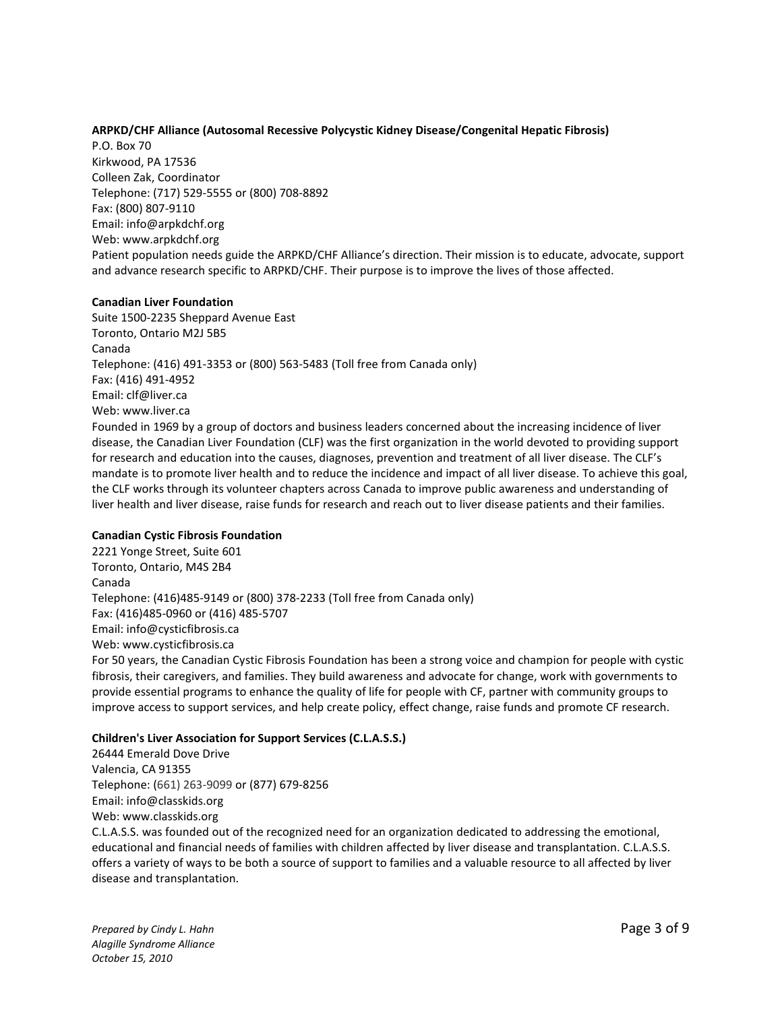# **ARPKD/CHF Alliance [\(Autosomal Recessive Polycystic Kidney Disease/Congenital Hepatic Fibrosis\)](http://www.arpkd.org/)**

P.O. Box 70 Kirkwood, PA 17536 Colleen Zak, Coordinator Telephone: (717) 529-5555 or (800) 708-8892 Fax: (800) 807-9110 Email: [info@arpkdchf.org](mailto:info@arpkdchf.org) Web: www.arpkdchf.org Patient population needs guide the ARPKD/CHF Alliance's direction. Their mission is to educate, advocate, support and advance research specific to ARPKD/CHF. Their purpose is to improve the lives of those affected.

#### **[Canadian Liver Foundation](http://www.rarediseases.org/nord/search/orgdetail_full.html?org_name=Canadian%20Liver%20Foundation)**

Suite 1500-2235 Sheppard Avenue East Toronto, Ontario M2J 5B5 Canada Telephone: (416) 491-3353 or (800) 563-5483 (Toll free from Canada only) Fax: (416) 491-4952 Email: [clf@liver.ca](mailto:clf@liver.ca) Web: [www.liver.ca](http://www.liver.ca/) Founded in 1969 by a group of doctors and business leaders concerned about the increasing incidence of liver disease, the Canadian Liver Foundation (CLF) was the first organization in the world devoted to providing support for research and education into the causes, diagnoses, prevention and treatment of all liver disease. The CLF's mandate is to promote liver health and to reduce the incidence and impact of all liver disease. To achieve this goal, the CLF works through its volunteer chapters across Canada to improve public awareness and understanding of liver health and liver disease, raise funds for research and reach out to liver disease patients and their families.

#### **Canadian Cystic Fibrosis Foundation**

2221 Yonge Street, Suite 601 Toronto, Ontario, M4S 2B4 Canada Telephone: (416)485-9149 or (800) 378-2233 (Toll free from Canada only) Fax: (416)485-0960 or (416) 485-5707 Email: [info@cysticfibrosis.ca](mailto:info@cysticfibrosis.ca) Web: [www.cysticfibrosis.ca](http://www.cysticfibrosis.ca/) For 50 years, the Canadian Cystic Fibrosis Foundation has been a strong voice and champion for people with cystic fibrosis, their caregivers, and families. They build awareness and advocate for change, work with governments to provide essential programs to enhance the quality of life for people with CF, partner with community groups to improve access to support services, and help create policy, effect change, raise funds and promote CF research.

#### **Children's Liver Association for Support Services (C.L.A.S.S.)**

26444 Emerald Dove Drive Valencia, CA 91355 Telephone: (661) 263-9099 or (877) 679-8256 Email: [info@classkids.org](mailto:info@classkids.org) Web: [www.classkids.org](http://www.classkids.org/) C.L.A.S.S. was founded out of the recognized need for an organization dedicated to addressing the emotional, educational and financial needs of families with children affected by liver disease and transplantation. C.L.A.S.S. offers a variety of ways to be both a source of support to families and a valuable resource to all affected by liver disease and transplantation.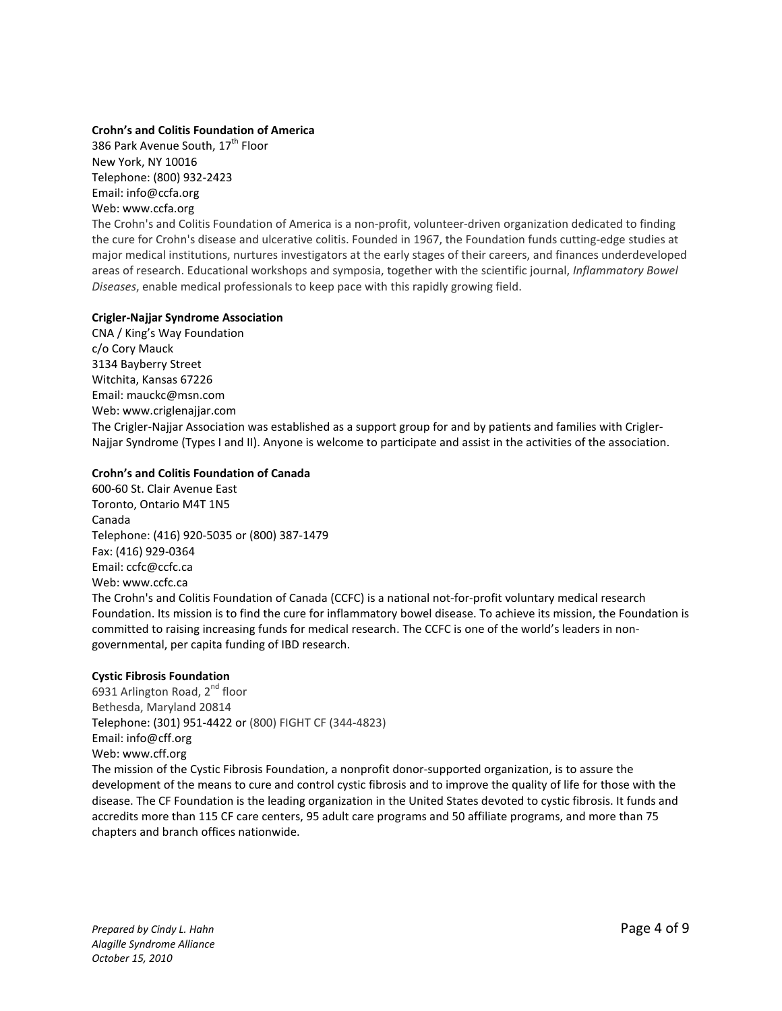# **Crohn's and Colitis Foundation of America**

386 Park Avenue South, 17<sup>th</sup> Floor New York, NY 10016 Telephone: (800) 932-2423 Email: info@ccfa.org Web: www.ccfa.org

The Crohn's and Colitis Foundation of America is a non-profit, volunteer-driven organization dedicated to finding the cure for Crohn's disease and ulcerative colitis. Founded in 1967, the Foundation funds cutting-edge studies at major medical institutions, nurtures investigators at the early stages of their careers, and finances underdeveloped areas of research. Educational workshops and symposia, together with the scientific journal, *Inflammatory Bowel Diseases*, enable medical professionals to keep pace with this rapidly growing field.

### **[Crigler-Najjar Syndrome Association](http://www.crigler-najjar.org/)**

CNA / King's Way Foundation c/o Cory Mauck 3134 Bayberry Street Witchita, Kansas 67226 Email: [mauckc@msn.com](mailto:mauckc@msn.com) Web: www.criglenajjar.com The Crigler-Najjar Association was established as a support group for and by patients and families with Crigler-Najjar Syndrome (Types I and II). Anyone is welcome to participate and assist in the activities of the association.

# **Crohn's and Colitis Foundation of Canada**

600-60 St. Clair Avenue East Toronto, Ontario M4T 1N5 Canada Telephone: (416) 920-5035 or (800) 387-1479 Fax: (416) 929-0364 Email: [ccfc@ccfc.ca](mailto:ccfc@ccfc.ca) Web: www.ccfc.ca The Crohn's and Colitis Foundation of Canada (CCFC) is a national not-for-profit voluntary medical research Foundation. Its mission is to find the cure for inflammatory bowel disease. To achieve its mission, the Foundation is committed to raising increasing funds fo[r medical research.](http://www.ccfc.ca/English/research/index.html) The CCFC is one of the world's leaders in nongovernmental, per capita funding of IBD research.

# **Cystic Fibrosis Foundation**

6931 Arlington Road,  $2^{nd}$  floor Bethesda, Maryland 20814 Telephone: (301) 951-4422 or (800) FIGHT CF (344-4823) Email: [info@cff.org](mailto:info@cff.org) Web: [www.cff.org](http://www.cff.org/) The mission of the Cystic Fibrosis Foundation, [a nonprofit](http://www.cff.org/UploadedFiles/aboutCFFoundation/CFF%20501c3.pdf) donor-supported organization, is to assure the development of the means to cure and control cystic fibrosis and to improve the quality of life for those with the disease. The CF Foundation is the leading organization in the United States devoted to cystic fibrosis. It funds and accredits more than 115 [CF care centers,](http://www.cff.org/aboutCFFoundation/Locations/FindACareCenter/) 95 adult care programs and 50 affiliate programs, and more than 75 [chapters and branch offices](http://www.cff.org/aboutCFFoundation/Locations/FindAChapter/) nationwide.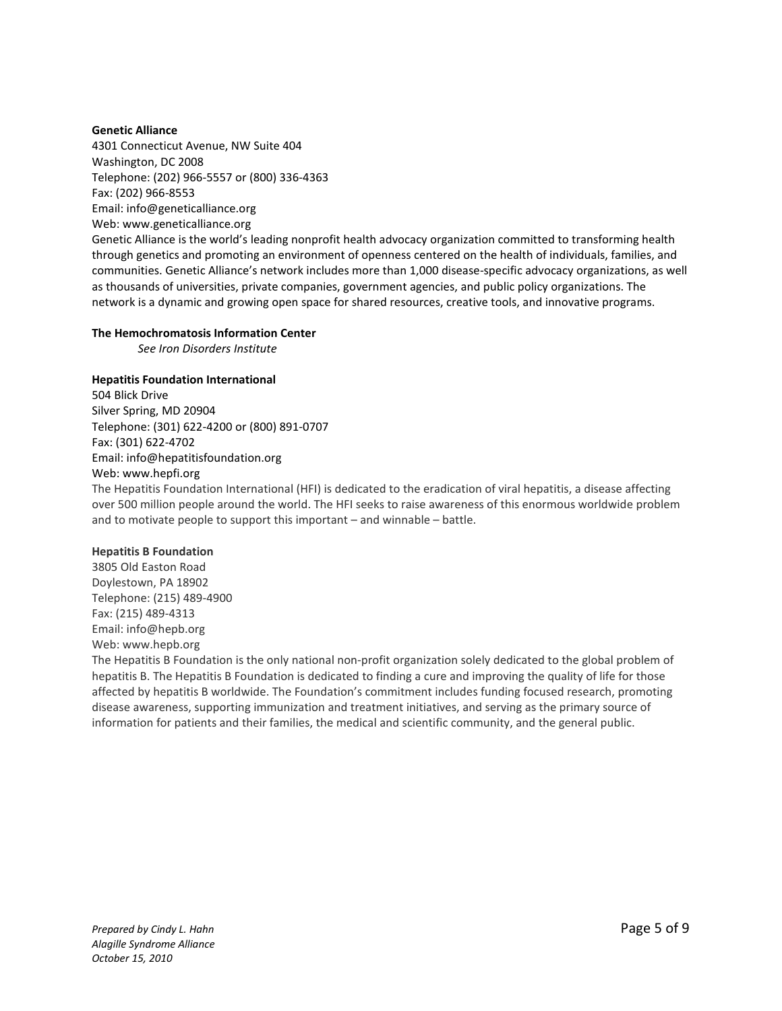# **[Genetic](http://www.geneticalliance.org/) Alliance**

4301 Connecticut Avenue, NW Suite 404 Washington, DC 2008 Telephone: (202) 966-5557 or (800) 336-4363 Fax: (202) 966-8553 Email: [info@geneticalliance.org](mailto:info@geneticalliance.org) Web: www.geneticalliance.org

Genetic Alliance is the world's leading nonprofit health advocacy organization committed to transforming health through genetics and promoting an environment of openness centered on the health of individuals, families, and communities. Genetic Alliance's network includes more than 1,000 disease-specific advocacy organizations, as well as thousands of universities, private companies, government agencies, and public policy organizations. The network is a dynamic and growing open space for shared resources, creative tools, and innovative programs.

### **Th[e Hemochromatosis Information](http://www.hemochromatosis.org/) Center**

*See Iron Disorders Institute*

### **[Hepatitis Foundation International](http://www.hepfi.org/)**

504 Blick Drive Silver Spring, MD 20904 Telephone: (301) 622-4200 or (800) 891-0707 Fax: (301) 622-4702 Email: info@hepatitisfoundation.org Web: www.hepfi.org

The Hepatitis Foundation International (HFI) is dedicated to the eradication of viral hepatitis, a disease affecting over 500 million people around the world. The HFI seeks to raise awareness of this enormous worldwide problem and to motivate people to support this important – and winnable – battle.

# **Hepatitis B Foundation**

3805 Old Easton Road Doylestown, PA 18902 Telephone: (215) 489-4900 Fax: (215) 489-4313 Email: info@hepb.org Web: www.hepb.org

The Hepatitis B Foundation is the only national non-profit organization solely dedicated to the global problem of hepatitis B. The Hepatitis B Foundation is dedicated to finding a cure and improving the quality of life for those affected by hepatitis B worldwide. The Foundation's commitment includes funding focused research, promoting disease awareness, supporting immunization and treatment initiatives, and serving as the primary source of information for patients and their families, the medical and scientific community, and the general public.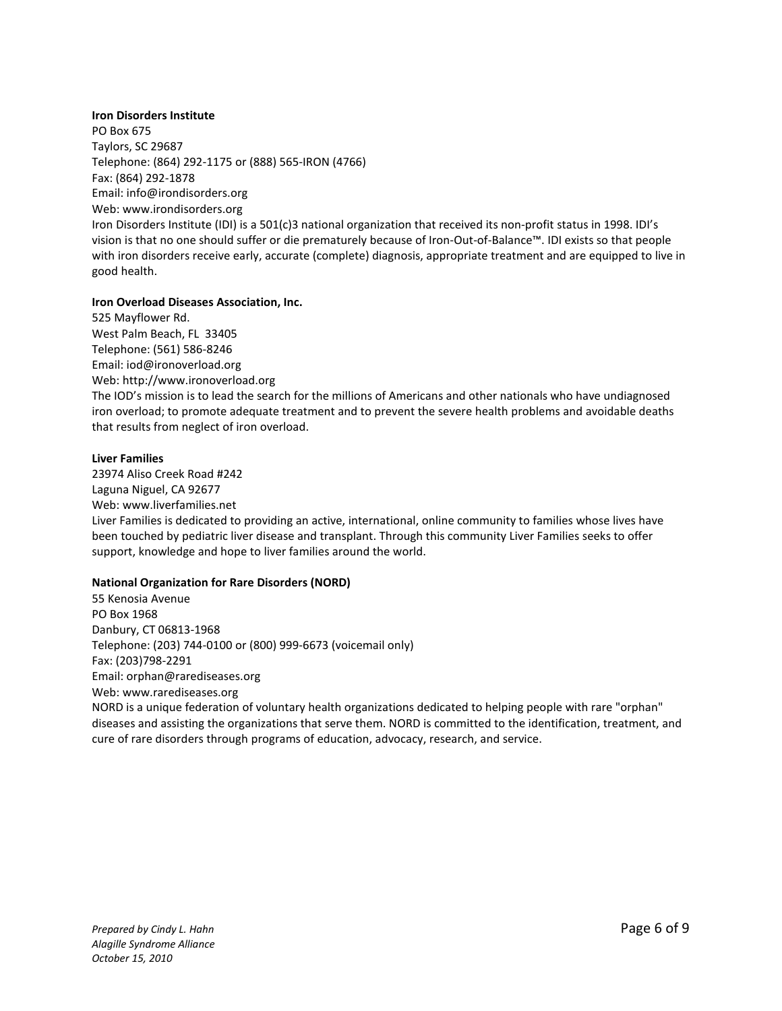# **[Iron Disorders Institute](http://www.rarediseases.org/nord/search/orgdetail_full.html?org_name=Iron%20Disorders%20Institute)**

PO Box 675 Taylors, SC 29687 Telephone: (864) 292-1175 or (888) 565-IRON (4766) Fax: (864) 292-1878 Email: [info@irondisorders.org](mailto:info@irondisorders.org) Web: www.irondisorders.org Iron Disorders Institute (IDI) is a 501(c)3 national organization that received its non-profit status in 1998. IDI's vision is that no one should suffer or die prematurely because of Iron-Out-of-Balance™. IDI exists so that people with iron disorders receive early, accurate (complete) diagnosis, appropriate treatment and are equipped to live in good health.

# **[Iron Overload Diseases Association, Inc.](http://www.ironoverload.org/)**

525 Mayflower Rd. West Palm Beach, FL 33405 Telephone: (561) 586-8246 Email: [iod@ironoverload.org](mailto:iod@ironoverload.org) Web: http://www.ironoverload.org The IOD's mission is to lead the search for the millions of Americans and other nationals who have undiagnosed iron overload; to promote adequate treatment and to prevent the severe health problems and avoidable deaths that results from neglect of iron overload.

#### **Liver Families**

23974 Aliso Creek Road #242 Laguna Niguel, CA 92677 Web: www.liverfamilies.net Liver Families is dedicated to providing an active, international, online community to families whose lives have been touched by pediatric liver disease and transplant. Through this community Liver Families seeks to offer support, knowledge and hope to liver families around the world.

# **National Organization for Rare Disorders (NORD)**

55 Kenosia Avenue PO Box 1968 Danbury, CT 06813-1968 Telephone: (203) 744-0100 or (800) 999-6673 (voicemail only) Fax: (203)798-2291 Email: orphan@rarediseases.org Web: [www.rarediseases.org](http://www.rarediseases.org/) NORD is a unique federation of voluntary health organizations dedicated to helping people with rare "orphan" diseases and assisting the organizations that serve them. NORD is committed to the identification, treatment, and cure of rare disorders through programs of education, advocacy, research, and service.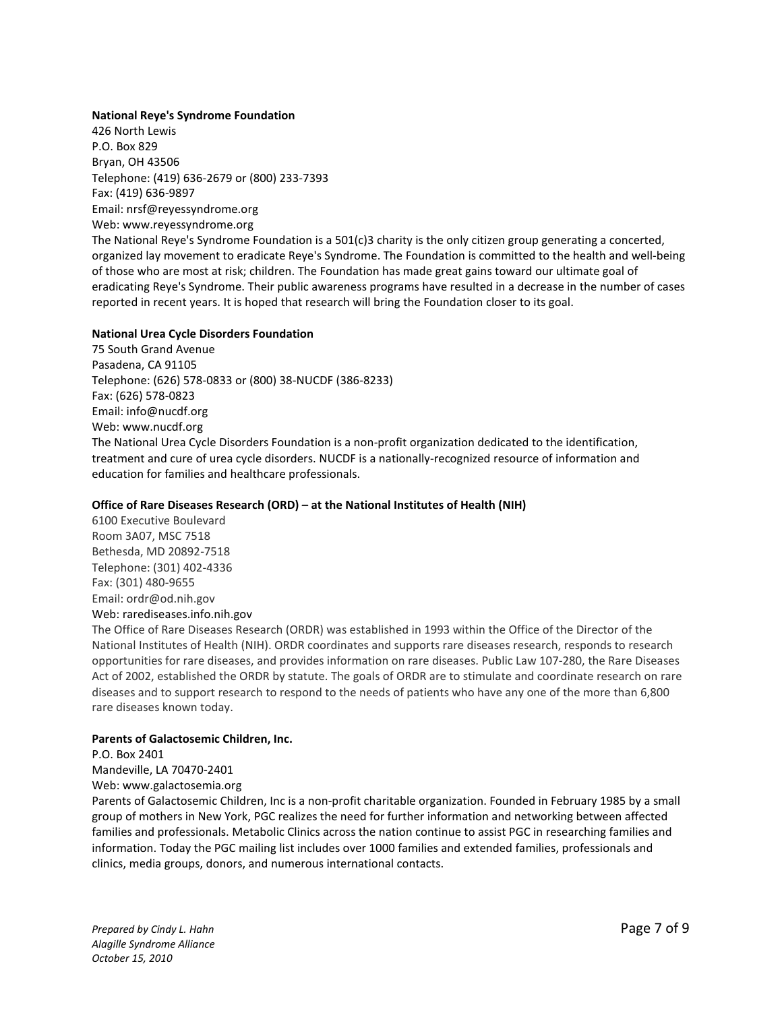#### **[National Reye's Syndrome Foundation](http://www.reyessyndrome.org/)**

426 North Lewis P.O. Box 829 Bryan, OH 43506 Telephone: (419) 636-2679 or (800) 233-7393 Fax: (419) 636-9897 Email: [nrsf@reyessyndrome.org](mailto:nrsf@reyessyndrome.org) Web: [www.reyessyndrome.org](http://www.reyessyndrome.org/)

The National Reye's Syndrome Foundation is a 501(c)3 charity is the only citizen group generating a concerted, organized lay movement to eradicate Reye's Syndrome. The Foundation is committed to the health and well-being of those who are most at risk; children. The Foundation has made great gains toward our ultimate goal of eradicating Reye's Syndrome. Their public awareness programs have resulted in a decrease in the number of cases reported in recent years. It is hoped that research will bring the Foundation closer to its goal.

### **[National Urea Cycle Disorders Foundation](http://www.nucdf.org/)**

75 South Grand Avenue Pasadena, CA 91105 Telephone: (626) 578-0833 or (800) 38-NUCDF (386-8233) Fax: (626) 578-0823 Email: [info@nucdf.org](mailto:info@nucdf.org) Web: www.nucdf.org The National Urea Cycle Disorders Foundation is a non-profit organization dedicated to the identification, treatment and cure of urea cycle disorders. NUCDF is a nationally-recognized resource of information and education for families and healthcare professionals.

#### **Office of Rare Diseases Research (ORD) – at the National Institutes of Health (NIH)**

6100 Executive Boulevard Room 3A07, MSC 7518 Bethesda, MD 20892-7518 Telephone: (301) 402-4336 Fax: (301) 480-9655 Email: ordr@od.nih.gov

# Web: [rarediseases.info.nih.gov](http://rarediseases.info.nih.gov/)

The Office of Rare Diseases Research (ORDR) was established in 1993 within the Office of the Director of the National Institutes of Health (NIH). ORDR coordinates and supports rare diseases research, responds to research opportunities for rare diseases, and provides information on rare diseases. Public Law 107-280, the Rare Diseases Act of 2002, established the ORDR by statute. The goals of ORDR are to stimulate and coordinate research on rare diseases and to support research to respond to the needs of patients who have any one of the more than 6,800 rare diseases known today.

#### **[Parents of Galactosemic Children, Inc.](http://www.galactosemia.org/)**

P.O. Box 2401

Mandeville, LA 70470-2401

Web: www.galactosemia.org

Parents of Galactosemic Children, Inc is a non-profit charitable organization. Founded in February 1985 by a small group of mothers in New York, PGC realizes the need for further information and networking between affected families and professionals. Metabolic Clinics across the nation continue to assist PGC in researching families and information. Today the PGC mailing list includes over 1000 families and extended families, professionals and clinics, media groups, donors, and numerous international contacts.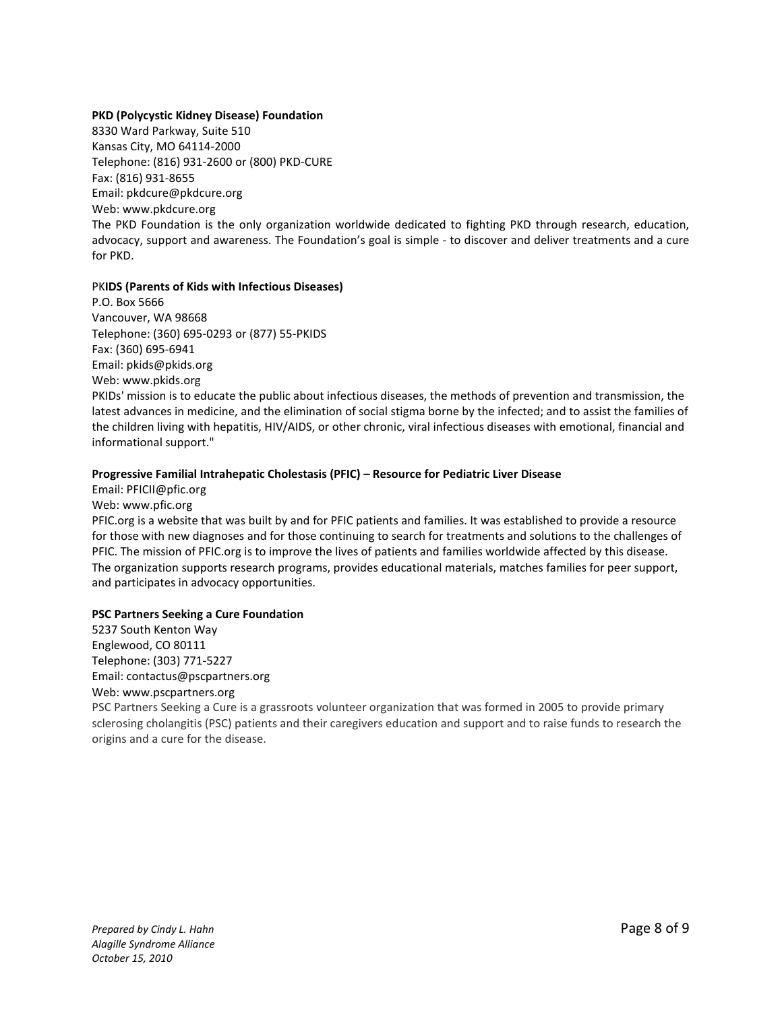# **[PKD \(Polycystic Kidney Disease\) Foundation](http://www.pkdcure.org/)**

8330 Ward Parkway, Suite 510 Kansas City, MO 64114-2000 Telephone: (816) 931-2600 or (800) PKD-CURE Fax: (816) 931-8655 Email: [pkdcure@pkdcure.org](mailto:pkdcure@pkdcure.org) Web: www.pkdcure.org The PKD Foundation is the only organization worldwide dedicated to fighting PKD through research, education, advocacy, support and awareness. The Foundation's goal is simple - to discover and deliver treatments and a cure for PKD.

### PK**IDS (Parents of Kids with Infectious Diseases)**

P.O. Box 5666 Vancouver, WA 98668 Telephone: (360) 695-0293 or (877) 55-PKIDS Fax: (360) 695-6941 Email: [pkids@pkids.org](mailto:pkids@pkids.org) Web: www.pkids.org

PKIDs' mission is to educate the public about infectious diseases, the methods of prevention and transmission, the latest advances in medicine, and the elimination of social stigma borne by the infected; and to assist the families of the children living with hepatitis, HIV/AIDS, or other chronic, viral infectious diseases with emotional, financial and informational support."

# **Progressive Familial Intrahepatic Cholestasis (PFIC) – Resource for Pediatric Liver Disease**

Email: [PFICII@pfic.org](mailto:PFICII@pfic.org) Web: [www.pfic.org](http://www.pfic.org/) PFIC.org is a website that was built by and for PFIC patients and families. It was established to provide a resource for those with new diagnoses and for those continuing to search for treatments and solutions to the challenges of PFIC. The mission of PFIC.org is to improve the lives of patients and families worldwide affected by this disease. The organization supports research programs, provides educational materials, matches families for peer support, and participates in advocacy opportunities.

# **PSC Partners Seeking a Cure Foundation**

5237 South Kenton Way Englewood, CO 80111 Telephone: (303) 771-5227 Email: contactus@pscpartners.org Web: www.pscpartners.org

PSC Partners Seeking a Cure is a grassroots volunteer organization that was formed in 2005 to provide primary sclerosing cholangitis (PSC) patients and their caregivers education and support and to raise funds to research the origins and a cure for the disease.